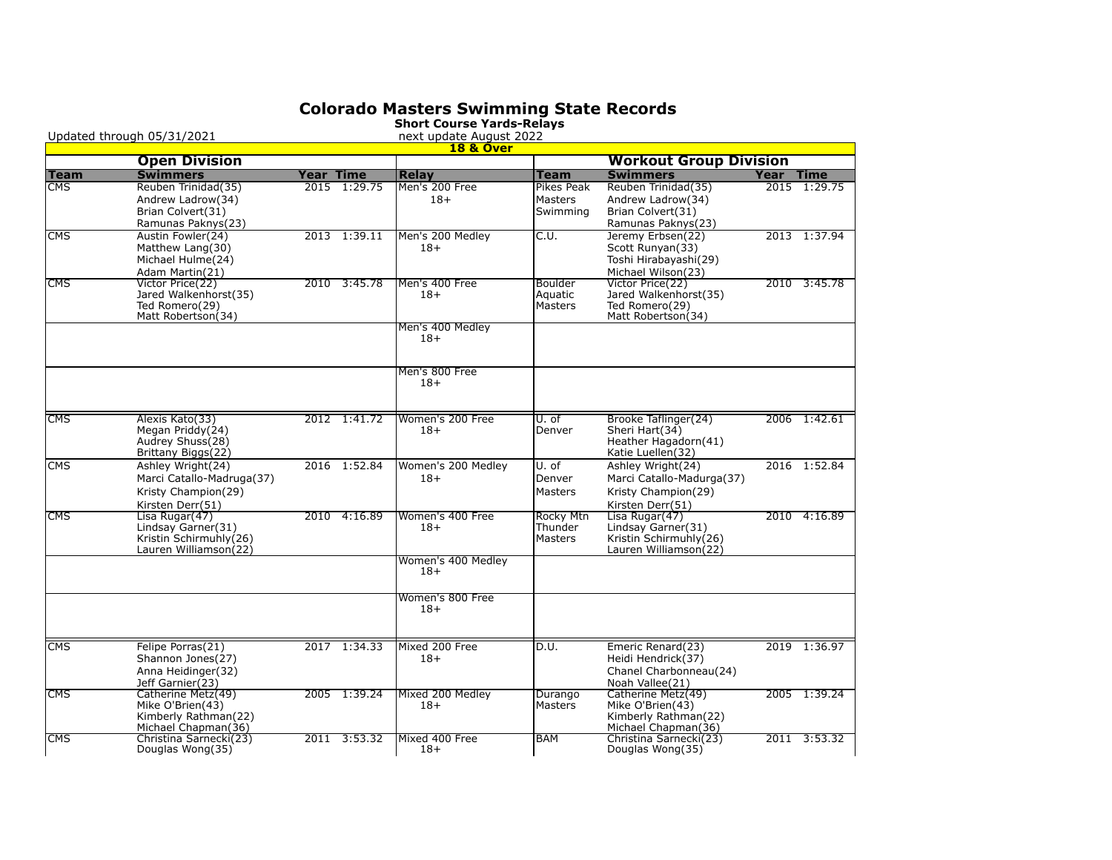## **Colorado Masters Swimming State Records**

|                           | Updated through 05/31/2021               |           |              | Silvit Course Tailus-Relays<br>next update August 2022 |                              |                                          |      |                             |
|---------------------------|------------------------------------------|-----------|--------------|--------------------------------------------------------|------------------------------|------------------------------------------|------|-----------------------------|
|                           |                                          |           |              | <b>18 &amp; Over</b>                                   |                              |                                          |      |                             |
|                           | <b>Open Division</b>                     |           |              |                                                        |                              | <b>Workout Group Division</b>            |      |                             |
| <b>Team</b><br><b>CMS</b> | <b>Swimmers</b>                          | Year Time | 2015 1:29.75 | <b>Relay</b>                                           | <b>Team</b>                  | <b>Swimmers</b>                          | Year | <b>Time</b><br>2015 1:29.75 |
|                           | Reuben Trinidad(35)<br>Andrew Ladrow(34) |           |              | Men's 200 Free<br>$18+$                                | Pikes Peak<br><b>Masters</b> | Reuben Trinidad(35)<br>Andrew Ladrow(34) |      |                             |
|                           | Brian Colvert(31)                        |           |              |                                                        | Swimming                     | Brian Colvert(31)                        |      |                             |
|                           | Ramunas Paknys(23)                       |           |              |                                                        |                              | Ramunas Paknys(23)                       |      |                             |
| <b>CMS</b>                | Austin Fowler(24)                        |           | 2013 1:39.11 | Men's 200 Medley                                       | C.U.                         | Jeremy Erbsen(22)                        |      | 2013 1:37.94                |
|                           | Matthew Lang(30)                         |           |              | $18+$                                                  |                              | Scott Runyan(33)                         |      |                             |
|                           | Michael Hulme(24)                        |           |              |                                                        |                              | Toshi Hirabayashi(29)                    |      |                             |
|                           | Adam Martin(21)                          |           |              |                                                        |                              | Michael Wilson(23)                       |      |                             |
| <b>CMS</b>                | Victor Price(22)                         |           | 2010 3:45.78 | Men's 400 Free                                         | Boulder                      | Victor Price(22)                         |      | 2010 3:45.78                |
|                           | Jared Walkenhorst(35)                    |           |              | $18+$                                                  | Aquatic                      | Jared Walkenhorst(35)                    |      |                             |
|                           | Ted Romero(29)<br>Matt Robertson(34)     |           |              |                                                        | Masters                      | Ted Romero(29)<br>Matt Robertson(34)     |      |                             |
|                           |                                          |           |              | Men's 400 Medley                                       |                              |                                          |      |                             |
|                           |                                          |           |              | $18+$                                                  |                              |                                          |      |                             |
|                           |                                          |           |              |                                                        |                              |                                          |      |                             |
|                           |                                          |           |              | Men's 800 Free                                         |                              |                                          |      |                             |
|                           |                                          |           |              | $18+$                                                  |                              |                                          |      |                             |
|                           |                                          |           |              |                                                        |                              |                                          |      |                             |
| <b>CMS</b>                | Alexis Kato(33)                          |           | 2012 1:41.72 | Women's 200 Free                                       | U. of                        | Brooke Taflinger(24)                     |      | 2006 1:42.61                |
|                           | Megan Priddy(24)                         |           |              | $18+$                                                  | Denver                       | Sheri Hart(34)                           |      |                             |
|                           | Audrey Shuss(28)                         |           |              |                                                        |                              | Heather Hagadorn(41)                     |      |                             |
|                           | Brittany Biggs(22)                       |           |              |                                                        |                              | Katie Luellen(32)                        |      |                             |
| <b>CMS</b>                | Ashley Wright(24)                        |           | 2016 1:52.84 | Women's 200 Medley                                     | U. of                        | Ashley Wright(24)                        |      | 2016 1:52.84                |
|                           | Marci Catallo-Madruga(37)                |           |              | $18+$                                                  | Denver                       | Marci Catallo-Madurga(37)                |      |                             |
|                           | Kristy Champion(29)                      |           |              |                                                        | <b>Masters</b>               | Kristy Champion(29)                      |      |                             |
|                           | Kirsten Derr(51)                         |           |              |                                                        |                              | Kirsten Derr(51)                         |      |                             |
| <b>CMS</b>                | Lisa Rugar(47)<br>Lindsay Garner(31)     | 2010      | 4:16.89      | Women's 400 Free<br>$18+$                              | <b>Rocky Mtn</b><br>Thunder  | Lisa Rugar(47)<br>Lindsay Garner(31)     |      | 2010 4:16.89                |
|                           | Kristin Schirmuhly(26)                   |           |              |                                                        | Masters                      | Kristin Schirmuhly (26)                  |      |                             |
|                           | Lauren Williamson(22)                    |           |              |                                                        |                              | Lauren Williamson(22)                    |      |                             |
|                           |                                          |           |              | Women's 400 Medley                                     |                              |                                          |      |                             |
|                           |                                          |           |              | $18+$                                                  |                              |                                          |      |                             |
|                           |                                          |           |              | Women's 800 Free                                       |                              |                                          |      |                             |
|                           |                                          |           |              | $18+$                                                  |                              |                                          |      |                             |
|                           |                                          |           |              |                                                        |                              |                                          |      |                             |
| <b>CMS</b>                | Felipe Porras(21)                        |           | 2017 1:34.33 | Mixed 200 Free                                         | D.U.                         | Emeric Renard(23)                        |      | 2019 1:36.97                |
|                           | Shannon Jones(27)                        |           |              | $18+$                                                  |                              | Heidi Hendrick(37)                       |      |                             |
|                           | Anna Heidinger(32)                       |           |              |                                                        |                              | Chanel Charbonneau(24)                   |      |                             |
|                           | Jeff Garnier(23)                         |           |              |                                                        |                              | Noah Vallee(21)                          |      |                             |
| <b>CMS</b>                | Catherine Metz(49)<br>Mike O'Brien(43)   |           | 2005 1:39.24 | Mixed 200 Medley                                       | Durango                      | Catherine Metz(49)<br>Mike O'Brien(43)   |      | 2005 1:39.24                |
|                           | Kimberly Rathman(22)                     |           |              | $18+$                                                  | Masters                      | Kimberly Rathman(22)                     |      |                             |
|                           | Michael Chapman(36)                      |           |              |                                                        |                              | Michael Chapman(36)                      |      |                             |
| <b>CMS</b>                | Christina Sarnecki(23)                   |           | 2011 3:53.32 | Mixed 400 Free                                         | <b>BAM</b>                   | Christina Sarnecki(23)                   |      | 2011 3:53.32                |
|                           | Douglas Wong(35)                         |           |              | $18+$                                                  |                              | Douglas Wong(35)                         |      |                             |

**Short Course Yards-Relays**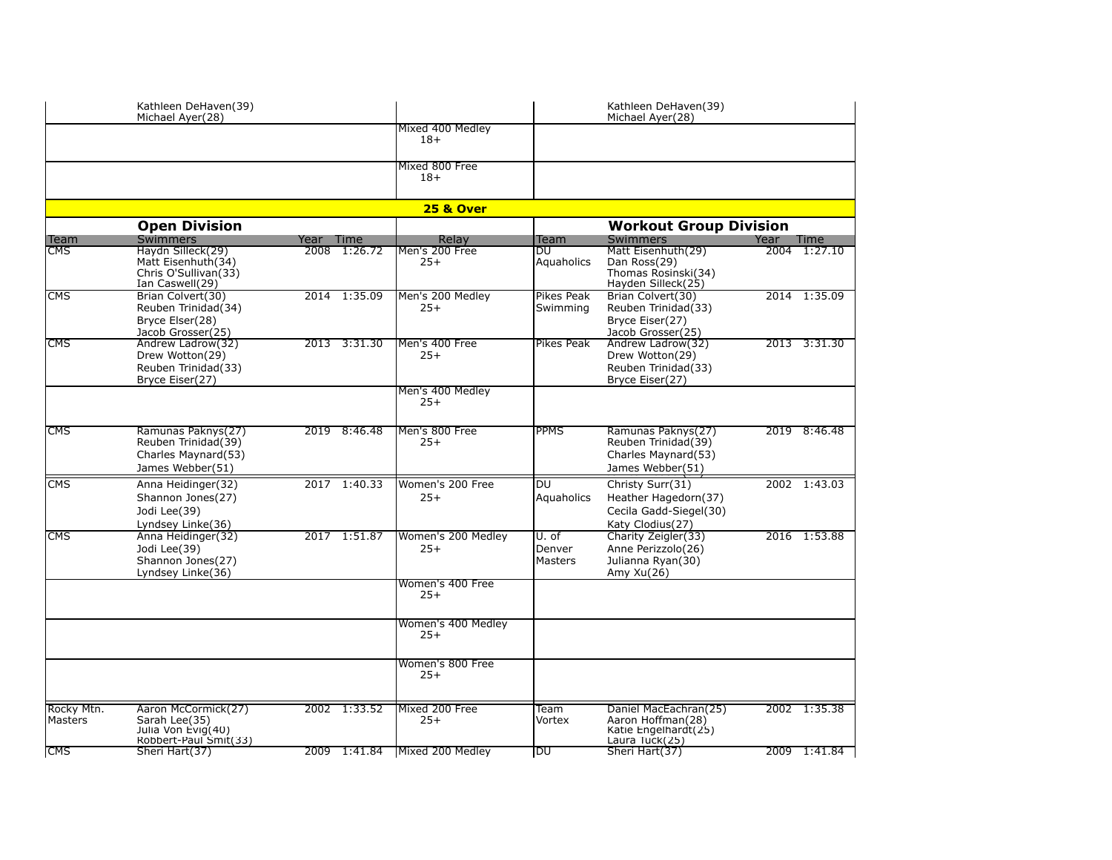|                         | Kathleen DeHaven(39)<br>Michael Ayer(28)                                             |           |              |                             |                                   |                                                                                        |      |              |
|-------------------------|--------------------------------------------------------------------------------------|-----------|--------------|-----------------------------|-----------------------------------|----------------------------------------------------------------------------------------|------|--------------|
|                         |                                                                                      |           |              | Mixed 400 Medley<br>$18+$   |                                   |                                                                                        |      |              |
|                         |                                                                                      |           |              | Mixed 800 Free<br>$18+$     |                                   |                                                                                        |      |              |
|                         |                                                                                      |           |              | <b>25 &amp; Over</b>        |                                   |                                                                                        |      |              |
|                         | <b>Open Division</b>                                                                 |           |              |                             |                                   | <b>Workout Group Division</b>                                                          |      |              |
| Team                    | <b>Swimmers</b>                                                                      | Year Time |              | Relay                       | Team                              | <b>Swimmers</b>                                                                        | Year | Time         |
| $\overline{\text{CMS}}$ | Haydn Silleck(29)<br>Matt Eisenhuth(34)<br>Chris O'Sullivan(33)<br>Ian Caswell(29)   |           | 2008 1:26.72 | Men's 200 Free<br>$25+$     | DU<br>Aquaholics                  | Matt Eisenhuth(29)<br>Dan Ross(29)<br>Thomas Rosinski(34)<br>Hayden Silleck(25)        |      | 2004 1:27.10 |
| <b>CMS</b>              | Brian Colvert(30)<br>Reuben Trinidad(34)<br>Bryce Elser(28)<br>Jacob Grosser(25)     |           | 2014 1:35.09 | Men's 200 Medley<br>$25+$   | Pikes Peak<br>Swimming            | Brian Colvert(30)<br>Reuben Trinidad(33)<br>Bryce Eiser(27)<br>Jacob Grosser(25)       |      | 2014 1:35.09 |
| <b>CMS</b>              | Andrew Ladrow(32)<br>Drew Wotton(29)<br>Reuben Trinidad(33)<br>Bryce Eiser(27)       |           | 2013 3:31.30 | Men's 400 Free<br>$25+$     | <b>Pikes Peak</b>                 | Andrew Ladrow(32)<br>Drew Wotton(29)<br>Reuben Trinidad(33)<br>Bryce Eiser(27)         |      | 2013 3:31.30 |
|                         |                                                                                      |           |              | Men's 400 Medley<br>$25+$   |                                   |                                                                                        |      |              |
| <b>CMS</b>              | Ramunas Paknys(27)<br>Reuben Trinidad(39)<br>Charles Maynard(53)<br>James Webber(51) |           | 2019 8:46.48 | Men's 800 Free<br>$25+$     | <b>PPMS</b>                       | Ramunas Paknys(27)<br>Reuben Trinidad(39)<br>Charles Maynard(53)<br>James Webber(51)   |      | 2019 8:46.48 |
| CMS                     | Anna Heidinger(32)<br>Shannon Jones(27)<br>Jodi Lee(39)<br>Lyndsey Linke(36)         |           | 2017 1:40.33 | Women's 200 Free<br>$25+$   | DU<br>Aquaholics                  | Christy Surr(31)<br>Heather Hagedorn(37)<br>Cecila Gadd-Siegel(30)<br>Katy Clodius(27) |      | 2002 1:43.03 |
| <b>CMS</b>              | Anna Heidinger(32)<br>Jodi Lee(39)<br>Shannon Jones(27)<br>Lyndsey Linke(36)         | 2017      | 1:51.87      | Women's 200 Medley<br>$25+$ | U. of<br>Denver<br><b>Masters</b> | Charity Zeigler(33)<br>Anne Perizzolo(26)<br>Julianna Ryan(30)<br>Amy $Xu(26)$         | 2016 | 1:53.88      |
|                         |                                                                                      |           |              | Women's 400 Free<br>$25+$   |                                   |                                                                                        |      |              |
|                         |                                                                                      |           |              | Women's 400 Medley<br>$25+$ |                                   |                                                                                        |      |              |
|                         |                                                                                      |           |              | Women's 800 Free<br>$25+$   |                                   |                                                                                        |      |              |
| Rocky Mtn.<br>Masters   | Aaron McCormick(27)<br>Sarah Lee(35)<br>Julia Von Evig(40)<br>Robbert-Paul Smit(33)  |           | 2002 1:33.52 | Mixed 200 Free<br>$25+$     | Team<br>Vortex                    | Daniel MacEachran(25)<br>Aaron Hoffman(28)<br>Katie Engelhardt(25)<br>Laura Tuck(25)   |      | 2002 1:35.38 |
| <b>CMS</b>              | Sheri Hart(37)                                                                       |           | 2009 1:41.84 | Mixed 200 Medley            | DU                                | Sheri Hart(37)                                                                         |      | 2009 1:41.84 |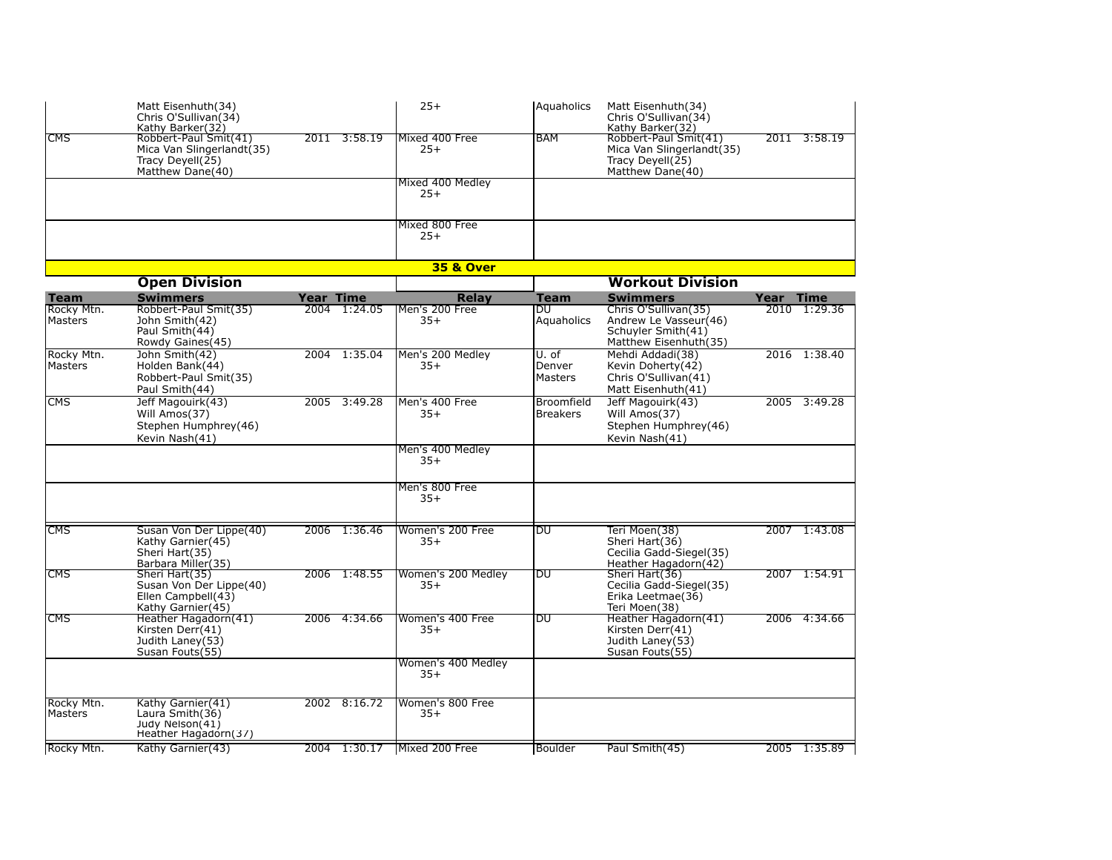|                                      | Matt Eisenhuth(34)<br>Chris O'Sullivan(34)<br>Kathy Barker(32)                                   |           |              | $25+$                            | <b>Aquaholics</b>               | Matt Eisenhuth(34)<br>Chris O'Sullivan(34)<br>Kathy Barker(32)                                                  |              |                        |
|--------------------------------------|--------------------------------------------------------------------------------------------------|-----------|--------------|----------------------------------|---------------------------------|-----------------------------------------------------------------------------------------------------------------|--------------|------------------------|
| CMS                                  | Robbert-Paul Smit(41)<br>Mica Van Slingerlandt(35)<br>Tracy Deyell(25)<br>Matthew Dane(40)       |           | 2011 3:58.19 | Mixed 400 Free<br>$25+$          | <b>BAM</b>                      | Robbert-Paul Smit(41)<br>Mica Van Slingerlandt(35)<br>Tracy Devell $(25)$<br>Matthew Dane(40)                   |              | 2011 3:58.19           |
|                                      |                                                                                                  |           |              | Mixed 400 Medley<br>$25+$        |                                 |                                                                                                                 |              |                        |
|                                      |                                                                                                  |           |              | Mixed 800 Free<br>$25+$          |                                 |                                                                                                                 |              |                        |
|                                      |                                                                                                  |           |              | <b>35 &amp; Over</b>             |                                 |                                                                                                                 |              |                        |
|                                      | <b>Open Division</b>                                                                             |           |              |                                  |                                 | <b>Workout Division</b>                                                                                         |              |                        |
| <b>Team</b><br>Rocky Mtn.<br>Masters | <b>Swimmers</b><br>Robbert-Paul Smit(35)<br>John Smith(42)<br>Paul Smith(44)<br>Rowdy Gaines(45) | Year Time | 2004 1:24.05 | Relay<br>Men's 200 Free<br>$35+$ | <b>Team</b><br>DU<br>Aquaholics | <b>Swimmers</b><br>Chris O'Sullivan(35)<br>Andrew Le Vasseur(46)<br>Schuyler Smith(41)<br>Matthew Eisenhuth(35) | Year<br>2010 | <b>Time</b><br>1:29.36 |
| Rocky Mtn.<br>Masters                | John Smith(42)<br>Holden Bank(44)<br>Robbert-Paul Smit(35)<br>Paul Smith(44)                     |           | 2004 1:35.04 | Men's 200 Medley<br>$35+$        | U. of<br>Denver<br>Masters      | Mehdi Addadi(38)<br>Kevin Doherty(42)<br>Chris O'Sullivan(41)<br>Matt Eisenhuth(41)                             |              | 2016 1:38.40           |
| <b>CMS</b>                           | Jeff Magouirk(43)<br>Will Amos(37)<br>Stephen Humphrey(46)<br>Kevin Nash(41)                     | 2005      | 3:49.28      | Men's 400 Free<br>$35+$          | Broomfield<br><b>Breakers</b>   | Jeff Magouirk(43)<br>Will Amos(37)<br>Stephen Humphrey(46)<br>Kevin Nash(41)                                    |              | 2005 3:49.28           |
|                                      |                                                                                                  |           |              | Men's 400 Medley<br>$35+$        |                                 |                                                                                                                 |              |                        |
|                                      |                                                                                                  |           |              | Men's 800 Free<br>$35+$          |                                 |                                                                                                                 |              |                        |
| <b>CMS</b>                           | Susan Von Der Lippe(40)<br>Kathy Garnier(45)<br>Sheri Hart(35)<br>Barbara Miller(35)             |           | 2006 1:36.46 | Women's 200 Free<br>$35+$        | DU                              | Teri Moen(38)<br>Sheri Hart(36)<br>Cecilia Gadd-Siegel(35)<br>Heather Hagadorn(42)                              |              | 2007 1:43.08           |
| <b>CMS</b>                           | Sheri Hart(35)<br>Susan Von Der Lippe(40)<br>Ellen Campbell(43)<br>Kathy Garnier(45)             |           | 2006 1:48.55 | Women's 200 Medley<br>$35+$      | DU                              | Sheri Hart(36)<br>Cecilia Gadd-Siegel(35)<br>Erika Leetmae(36)<br>Teri Moen(38)                                 |              | 2007 1:54.91           |
| <b>CMS</b>                           | Heather Hagadorn(41)<br>Kirsten Derr(41)<br>Judith Laney(53)<br>Susan Fouts(55)                  | 2006      | 4:34.66      | Women's 400 Free<br>$35+$        | DU                              | Heather Hagadorn(41)<br>Kirsten Derr(41)<br>Judith Laney(53)<br>Susan Fouts(55)                                 | 2006         | 4:34.66                |
|                                      |                                                                                                  |           |              | Women's 400 Medley<br>$35+$      |                                 |                                                                                                                 |              |                        |
| Rocky Mtn.<br>Masters                | Kathy Garnier(41)<br>Laura Smith(36)<br>Judy Nelson(41)<br>Heather Hagadorn(37)                  |           | 2002 8:16.72 | Women's 800 Free<br>$35+$        |                                 |                                                                                                                 |              |                        |
| Rocky Mtn.                           | Kathy Garnier(43)                                                                                |           |              | 2004 1:30.17 Mixed 200 Free      | Boulder                         | Paul Smith(45)                                                                                                  |              | 2005 1:35.89           |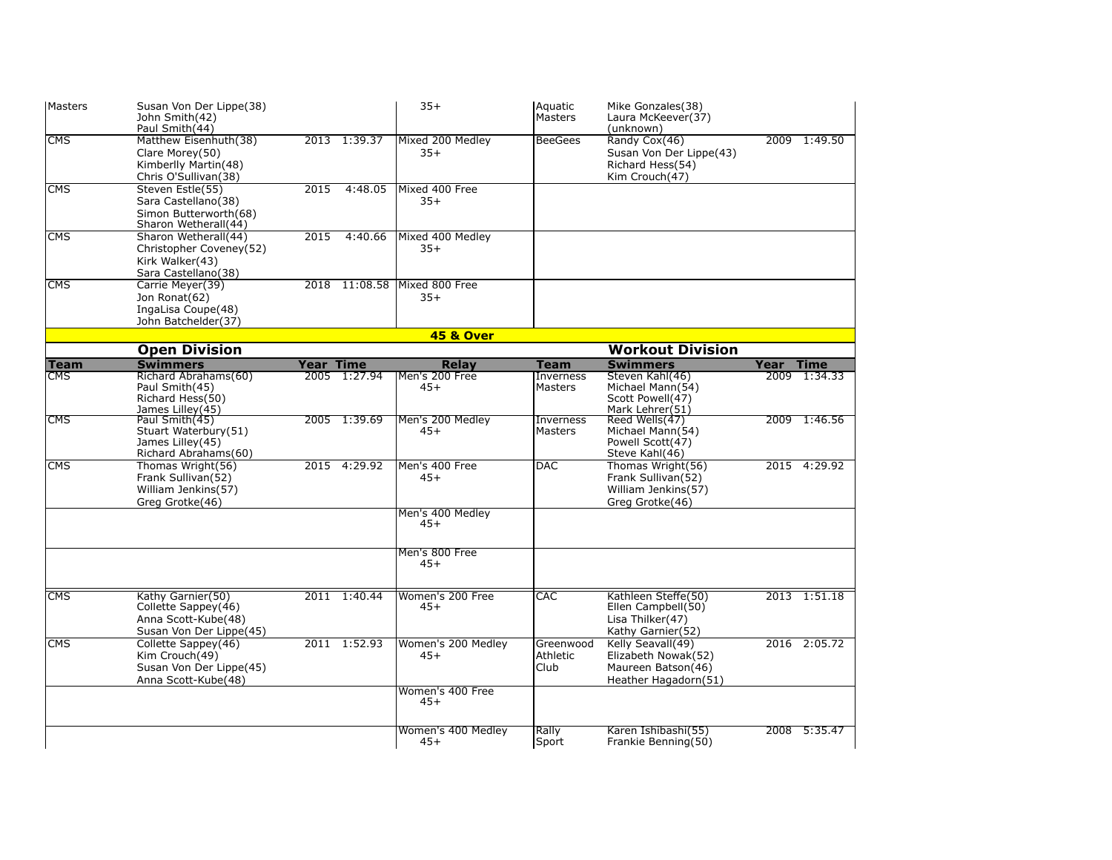| <b>IMasters</b>         | Susan Von Der Lippe(38)<br>John Smith(42)<br>Paul Smith(44)                                |           |               | $35+$                       | Aquatic<br>Masters                 | Mike Gonzales(38)<br>Laura McKeever(37)<br>(unknown)                                   |      |              |
|-------------------------|--------------------------------------------------------------------------------------------|-----------|---------------|-----------------------------|------------------------------------|----------------------------------------------------------------------------------------|------|--------------|
| <b>CMS</b>              | Matthew Eisenhuth(38)<br>Clare Morey(50)<br>Kimberlly Martin(48)<br>Chris O'Sullivan(38)   |           | 2013 1:39.37  | Mixed 200 Medley<br>$35+$   | <b>BeeGees</b>                     | Randy Cox(46)<br>Susan Von Der Lippe(43)<br>Richard Hess(54)<br>Kim Crouch(47)         | 2009 | 1:49.50      |
| <b>CMS</b>              | Steven Estle(55)<br>Sara Castellano(38)<br>Simon Butterworth(68)<br>Sharon Wetherall(44)   | 2015      | 4:48.05       | Mixed 400 Free<br>$35+$     |                                    |                                                                                        |      |              |
| <b>CMS</b>              | Sharon Wetherall(44)<br>Christopher Coveney(52)<br>Kirk Walker(43)<br>Sara Castellano(38)  | 2015      | 4:40.66       | Mixed 400 Medley<br>$35+$   |                                    |                                                                                        |      |              |
| $\overline{\text{CMS}}$ | Carrie Meyer(39)<br>Jon Ronat(62)<br>IngaLisa Coupe(48)<br>John Batchelder(37)             |           | 2018 11:08.58 | Mixed 800 Free<br>$35+$     |                                    |                                                                                        |      |              |
|                         |                                                                                            |           |               | <b>45 &amp; Over</b>        |                                    |                                                                                        |      |              |
|                         | <b>Open Division</b>                                                                       |           |               |                             |                                    | <b>Workout Division</b>                                                                |      |              |
| <b>Team</b>             | <b>Swimmers</b>                                                                            | Year Time |               | Relay                       | <b>Team</b>                        | <b>Swimmers</b>                                                                        | Year | <b>Time</b>  |
| <b>CMS</b>              | Richard Abrahams(60)<br>Paul Smith(45)<br>Richard Hess(50)<br>James Lilley(45)             |           | 2005 1:27.94  | Men's 200 Free<br>$45+$     | <b>Inverness</b><br><b>Masters</b> | Steven Kahl(46)<br>Michael Mann(54)<br>Scott Powell(47)<br>Mark Lehrer(51)             |      | 2009 1:34.33 |
| <b>CMS</b>              | Paul Smith(45)<br>Stuart Waterbury(51)<br>James Lilley(45)<br>Richard Abrahams(60)         |           | 2005 1:39.69  | Men's 200 Medley<br>$45+$   | Inverness<br>Masters               | Reed Wells(47)<br>Michael Mann(54)<br>Powell Scott(47)<br>Steve Kahl(46)               |      | 2009 1:46.56 |
| <b>CMS</b>              | Thomas Wright(56)<br>Frank Sullivan(52)<br>William Jenkins(57)<br>Greg Grotke(46)          |           | 2015 4:29.92  | Men's 400 Free<br>$45+$     | DAC                                | Thomas Wright(56)<br>Frank Sullivan(52)<br>William Jenkins(57)<br>Grea Grotke(46)      |      | 2015 4:29.92 |
|                         |                                                                                            |           |               | Men's 400 Medley<br>$45+$   |                                    |                                                                                        |      |              |
|                         |                                                                                            |           |               | Men's 800 Free<br>$45+$     |                                    |                                                                                        |      |              |
| <b>CMS</b>              | Kathy Garnier(50)<br>Collette Sappey(46)<br>Anna Scott-Kube(48)<br>Susan Von Der Lippe(45) |           | 2011 1:40.44  | Women's 200 Free<br>$45+$   | <b>CAC</b>                         | Kathleen Steffe(50)<br>Ellen Campbell(50)<br>Lisa Thilker(47)<br>Kathy Garnier(52)     |      | 2013 1:51.18 |
| <b>CMS</b>              | Collette Sappey(46)<br>Kim Crouch(49)<br>Susan Von Der Lippe(45)<br>Anna Scott-Kube(48)    |           | 2011 1:52.93  | Women's 200 Medley<br>$45+$ | Greenwood<br>Athletic<br>Club      | Kelly Seavall(49)<br>Elizabeth Nowak(52)<br>Maureen Batson(46)<br>Heather Hagadorn(51) |      | 2016 2:05.72 |
|                         |                                                                                            |           |               | Women's 400 Free<br>$45+$   |                                    |                                                                                        |      |              |
|                         |                                                                                            |           |               | Women's 400 Medley<br>$45+$ | Rally<br>Sport                     | Karen Ishibashi(55)<br>Frankie Benning(50)                                             |      | 2008 5:35.47 |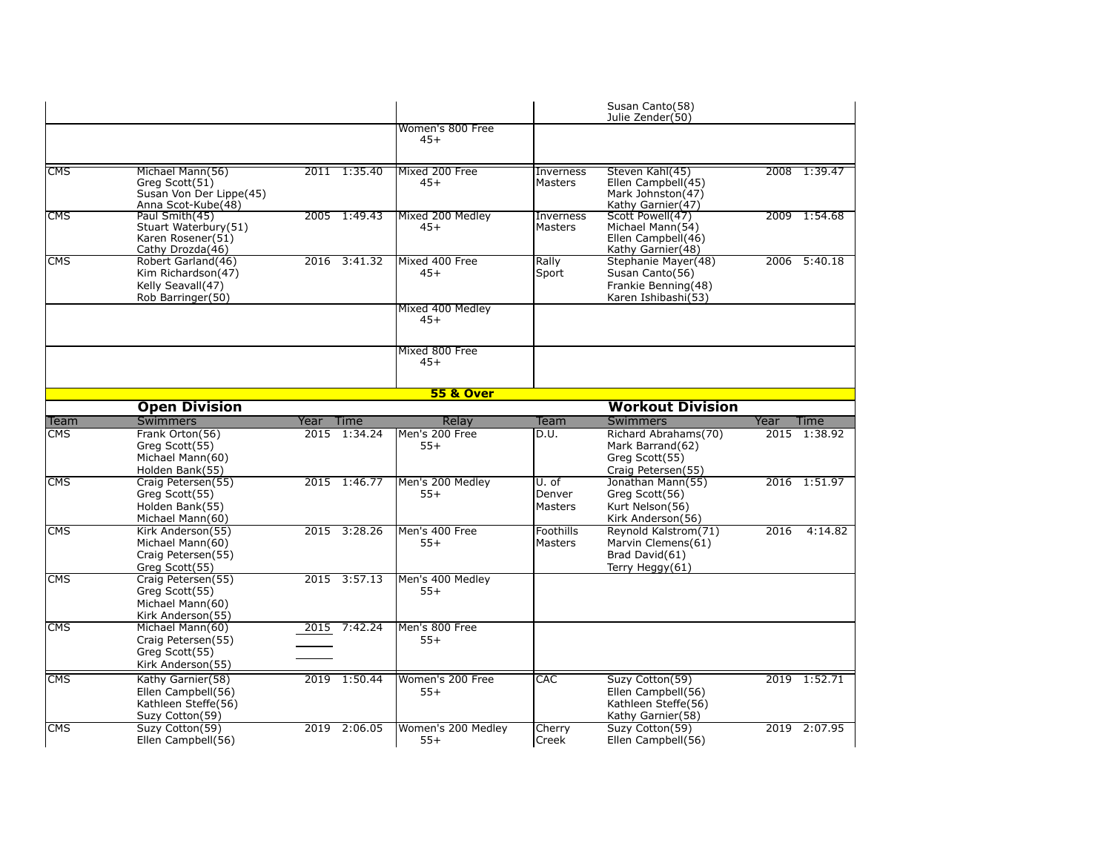|                                       |                                                                                                      |      |                         |                                                 |                                    | Susan Canto(58)<br>Julie Zender(50)                                                                  |      |                              |
|---------------------------------------|------------------------------------------------------------------------------------------------------|------|-------------------------|-------------------------------------------------|------------------------------------|------------------------------------------------------------------------------------------------------|------|------------------------------|
|                                       |                                                                                                      |      |                         | Women's 800 Free<br>$45+$                       |                                    |                                                                                                      |      |                              |
| <b>CMS</b>                            | Michael Mann(56)<br>Greg Scott(51)<br>Susan Von Der Lippe(45)<br>Anna Scot-Kube(48)                  |      | 2011 1:35.40            | Mixed 200 Free<br>$45+$                         | <b>Inverness</b><br><b>Masters</b> | Steven Kahl(45)<br>Ellen Campbell(45)<br>Mark Johnston(47)<br>Kathy Garnier(47)                      |      | 2008 1:39.47                 |
| <b>CMS</b>                            | Paul Smith(45)<br>Stuart Waterbury(51)<br>Karen Rosener(51)<br>Cathy Drozda(46)                      |      | 2005 1:49.43            | Mixed 200 Medley<br>$45+$                       | Inverness<br>Masters               | Scott Powell(47)<br>Michael Mann(54)<br>Ellen Campbell(46)<br>Kathy Garnier(48)                      |      | 2009 1:54.68                 |
| <b>CMS</b>                            | Robert Garland(46)<br>Kim Richardson(47)<br>Kelly Seavall(47)<br>Rob Barringer(50)                   |      | 2016 3:41.32            | Mixed 400 Free<br>$45+$                         | Rally<br>Sport                     | Stephanie Mayer(48)<br>Susan Canto(56)<br>Frankie Benning(48)<br>Karen Ishibashi(53)                 |      | 2006 5:40.18                 |
|                                       |                                                                                                      |      |                         | Mixed 400 Medley<br>$45+$                       |                                    |                                                                                                      |      |                              |
|                                       |                                                                                                      |      |                         | Mixed 800 Free<br>$45+$                         |                                    |                                                                                                      |      |                              |
|                                       |                                                                                                      |      |                         | <b>55 &amp; Over</b>                            |                                    |                                                                                                      |      |                              |
|                                       | <b>Open Division</b>                                                                                 |      |                         |                                                 |                                    | <b>Workout Division</b>                                                                              |      |                              |
| Team                                  | <b>Swimmers</b>                                                                                      | Year | Time                    | Relay                                           | Team                               | <b>Swimmers</b>                                                                                      | Year | Time                         |
| CMS.                                  | Frank Orton(56)<br>Greg Scott(55)<br>Michael Mann(60)<br>Holden Bank(55)                             | 2015 | 1:34.24                 | Men's 200 Free<br>$55+$                         | D.U.                               | Richard Abrahams(70)<br>Mark Barrand(62)<br>Greg Scott(55)<br>Craig Petersen(55)                     | 2015 | 1:38.92                      |
| $\overline{\text{CMS}}$               | Craig Petersen(55)<br>Greg Scott(55)<br>Holden Bank(55)<br>Michael Mann(60)                          |      | 2015 1:46.77            | Men's 200 Medley<br>$55+$                       | U. of<br>Denver<br><b>Masters</b>  | Jonathan Mann(55)<br>Greg Scott(56)<br>Kurt Nelson(56)<br>Kirk Anderson(56)                          |      | 2016 1:51.97                 |
| <b>CMS</b>                            | Kirk Anderson(55)<br>Michael Mann(60)<br>Craig Petersen(55)<br>Greg Scott(55)                        | 2015 | 3:28.26                 | Men's 400 Free<br>$55+$                         | Foothills<br><b>Masters</b>        | Reynold Kalstrom(71)<br>Marvin Clemens(61)<br>Brad David(61)<br>Terry Heggy(61)                      | 2016 | 4:14.82                      |
| <b>CMS</b>                            | Craig Petersen(55)<br>Greg Scott(55)<br>Michael Mann(60)<br>Kirk Anderson(55)                        |      | 2015 3:57.13            | Men's 400 Medley<br>$55+$                       |                                    |                                                                                                      |      |                              |
| <b>CMS</b>                            | Michael Mann(60)<br>Craig Petersen(55)<br>Greg Scott(55)                                             | 2015 | 7:42.24                 | Men's 800 Free<br>$55+$                         |                                    |                                                                                                      |      |                              |
|                                       | Kirk Anderson(55)                                                                                    |      |                         |                                                 |                                    |                                                                                                      |      |                              |
| $\overline{\text{CMS}}$<br><b>CMS</b> | Kathy Garnier(58)<br>Ellen Campbell(56)<br>Kathleen Steffe(56)<br>Suzy Cotton(59)<br>Suzy Cotton(59) | 2019 | 2019 1:50.44<br>2:06.05 | Women's 200 Free<br>$55+$<br>Women's 200 Medley | <b>CAC</b><br>Cherry               | Suzy Cotton(59)<br>Ellen Campbell(56)<br>Kathleen Steffe(56)<br>Kathy Garnier(58)<br>Suzy Cotton(59) |      | 2019 1:52.71<br>2019 2:07.95 |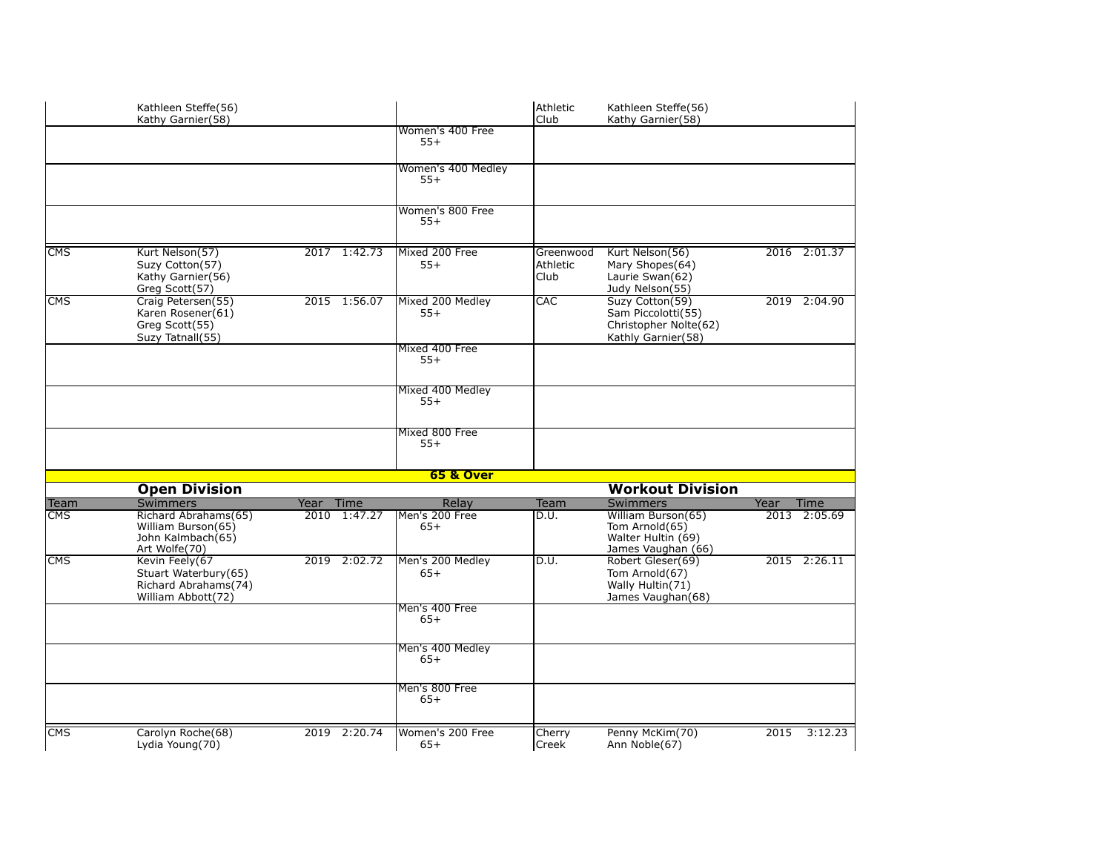|                         | Kathleen Steffe(56)<br>Kathy Garnier(58)                                             |                     |                             | Athletic<br>Club              | Kathleen Steffe(56)<br>Kathy Garnier(58)                                             |      |              |
|-------------------------|--------------------------------------------------------------------------------------|---------------------|-----------------------------|-------------------------------|--------------------------------------------------------------------------------------|------|--------------|
|                         |                                                                                      |                     | Women's 400 Free<br>$55+$   |                               |                                                                                      |      |              |
|                         |                                                                                      |                     | Women's 400 Medley<br>$55+$ |                               |                                                                                      |      |              |
|                         |                                                                                      |                     | Women's 800 Free<br>$55+$   |                               |                                                                                      |      |              |
| $\overline{\text{CMS}}$ | Kurt Nelson(57)<br>Suzy Cotton(57)<br>Kathy Garnier(56)<br>Greg Scott(57)            | 2017 1:42.73        | Mixed 200 Free<br>$55+$     | Greenwood<br>Athletic<br>Club | Kurt Nelson(56)<br>Mary Shopes(64)<br>Laurie Swan(62)<br>Judy Nelson(55)             |      | 2016 2:01.37 |
| <b>CMS</b>              | Craig Petersen(55)<br>Karen Rosener(61)<br>Greg Scott(55)<br>Suzy Tatnall(55)        | 2015 1:56.07        | Mixed 200 Medley<br>$55+$   | CAC                           | Suzy Cotton(59)<br>Sam Piccolotti(55)<br>Christopher Nolte(62)<br>Kathly Garnier(58) |      | 2019 2:04.90 |
|                         |                                                                                      |                     | Mixed 400 Free<br>$55+$     |                               |                                                                                      |      |              |
|                         |                                                                                      |                     | Mixed 400 Medley<br>$55+$   |                               |                                                                                      |      |              |
|                         |                                                                                      |                     | Mixed 800 Free<br>$55+$     |                               |                                                                                      |      |              |
|                         |                                                                                      |                     | <b>65 &amp; Over</b>        |                               |                                                                                      |      |              |
|                         | <b>Open Division</b>                                                                 |                     |                             |                               | <b>Workout Division</b>                                                              |      |              |
| <b>Team</b>             | <b>Swimmers</b>                                                                      | Year<br><b>Time</b> | Relay                       | Team                          | <b>Swimmers</b>                                                                      | Year | Time         |
| <b>CMS</b>              | Richard Abrahams(65)<br>William Burson(65)<br>John Kalmbach(65)<br>Art Wolfe(70)     | 2010 1:47.27        | Men's 200 Free<br>$65+$     | D.U.                          | William Burson(65)<br>Tom Arnold(65)<br>Walter Hultin (69)<br>James Vaughan (66)     |      | 2013 2:05.69 |
| CMS                     | Kevin Feely(67<br>Stuart Waterbury(65)<br>Richard Abrahams(74)<br>William Abbott(72) | 2019 2:02.72        | Men's 200 Medley<br>$65+$   | D.U.                          | Robert Gleser(69)<br>Tom Arnold(67)<br>Wally Hultin(71)<br>James Vaughan(68)         |      | 2015 2:26.11 |
|                         |                                                                                      |                     | Men's 400 Free<br>$65+$     |                               |                                                                                      |      |              |
|                         |                                                                                      |                     | Men's 400 Medley<br>$65+$   |                               |                                                                                      |      |              |
|                         |                                                                                      |                     | Men's 800 Free<br>$65+$     |                               |                                                                                      |      |              |
| <b>CMS</b>              | Carolyn Roche(68)<br>Lydia Young(70)                                                 | 2019 2:20.74        | Women's 200 Free<br>$65+$   | Cherry<br>Creek               | Penny McKim(70)<br>Ann Noble(67)                                                     | 2015 | 3:12.23      |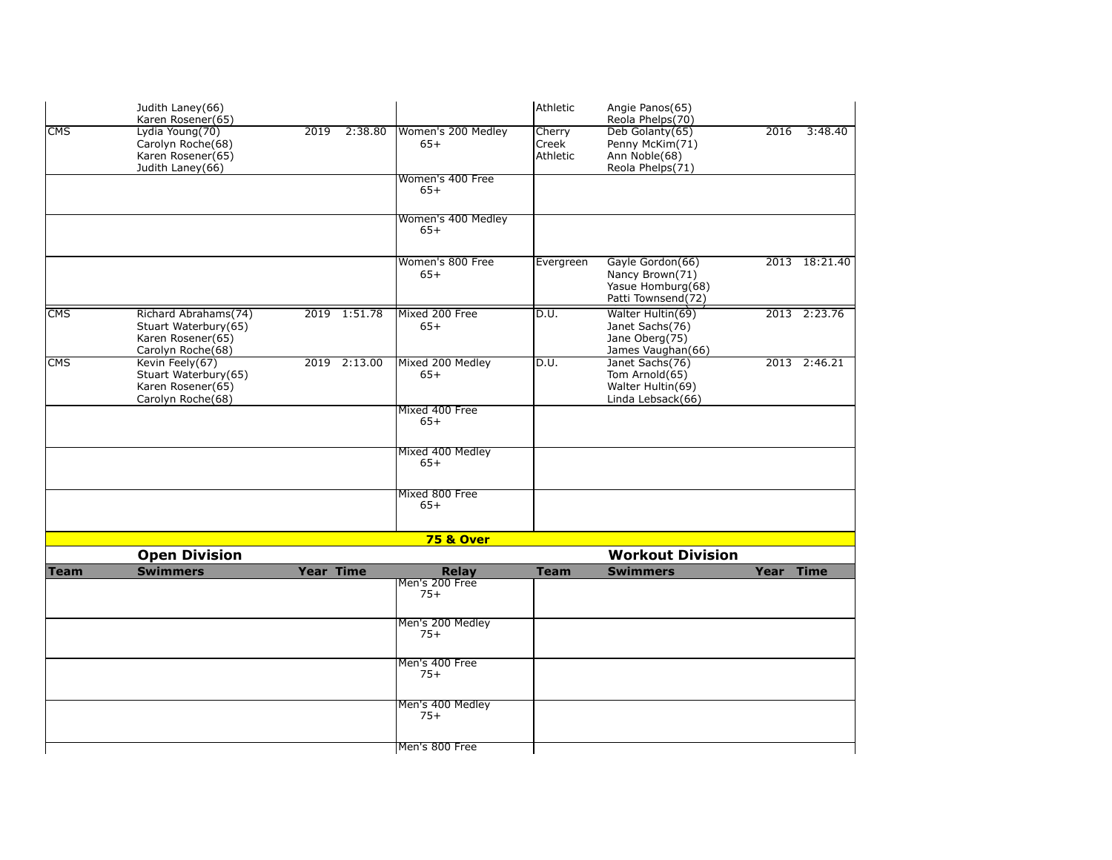|                         | Judith Laney(66)<br>Karen Rosener(65)                                                  |                   |         |                             | lAthletic                   | Angie Panos(65)<br>Reola Phelps(70)                                            |           |               |
|-------------------------|----------------------------------------------------------------------------------------|-------------------|---------|-----------------------------|-----------------------------|--------------------------------------------------------------------------------|-----------|---------------|
| $\overline{\text{CMS}}$ | Lydia Young(70)<br>Carolyn Roche(68)<br>Karen Rosener(65)<br>Judith Laney(66)          | $\overline{2019}$ | 2:38.80 | Women's 200 Medley<br>$65+$ | Cherry<br>Creek<br>Athletic | Deb Golanty(65)<br>Penny McKim(71)<br>Ann Noble(68)<br>Reola Phelps(71)        | 2016      | 3:48.40       |
|                         |                                                                                        |                   |         | Women's 400 Free<br>$65+$   |                             |                                                                                |           |               |
|                         |                                                                                        |                   |         | Women's 400 Medley<br>$65+$ |                             |                                                                                |           |               |
|                         |                                                                                        |                   |         | Women's 800 Free<br>$65+$   | Evergreen                   | Gayle Gordon(66)<br>Nancy Brown(71)<br>Yasue Homburg(68)<br>Patti Townsend(72) |           | 2013 18:21.40 |
| <b>CMS</b>              | Richard Abrahams(74)<br>Stuart Waterbury(65)<br>Karen Rosener(65)<br>Carolyn Roche(68) | 2019 1:51.78      |         | Mixed 200 Free<br>$65+$     | $\overline{D.U.}$           | Walter Hultin(69)<br>Janet Sachs(76)<br>Jane Oberg(75)<br>James Vaughan(66)    |           | 2013 2:23.76  |
| CMS                     | Kevin Feely(67)<br>Stuart Waterbury(65)<br>Karen Rosener(65)<br>Carolyn Roche(68)      | 2019 2:13.00      |         | Mixed 200 Medley<br>$65+$   | D.U.                        | Janet Sachs(76)<br>Tom Arnold(65)<br>Walter Hultin(69)<br>Linda Lebsack(66)    |           | 2013 2:46.21  |
|                         |                                                                                        |                   |         | Mixed 400 Free<br>$65+$     |                             |                                                                                |           |               |
|                         |                                                                                        |                   |         | Mixed 400 Medley<br>$65+$   |                             |                                                                                |           |               |
|                         |                                                                                        |                   |         | Mixed 800 Free<br>$65+$     |                             |                                                                                |           |               |
|                         |                                                                                        |                   |         | <b>75 &amp; Over</b>        |                             |                                                                                |           |               |
|                         | <b>Open Division</b>                                                                   |                   |         |                             |                             | <b>Workout Division</b>                                                        |           |               |
| <b>Team</b>             | <b>Swimmers</b>                                                                        | <b>Year Time</b>  |         | Relay<br>Men's 200 Free     | <b>Team</b>                 | <b>Swimmers</b>                                                                | Year Time |               |
|                         |                                                                                        |                   |         | $75+$                       |                             |                                                                                |           |               |
|                         |                                                                                        |                   |         | Men's 200 Medley<br>$75+$   |                             |                                                                                |           |               |
|                         |                                                                                        |                   |         | Men's 400 Free<br>$75+$     |                             |                                                                                |           |               |
|                         |                                                                                        |                   |         | Men's 400 Medley<br>$75+$   |                             |                                                                                |           |               |
|                         |                                                                                        |                   |         | Men's 800 Free              |                             |                                                                                |           |               |